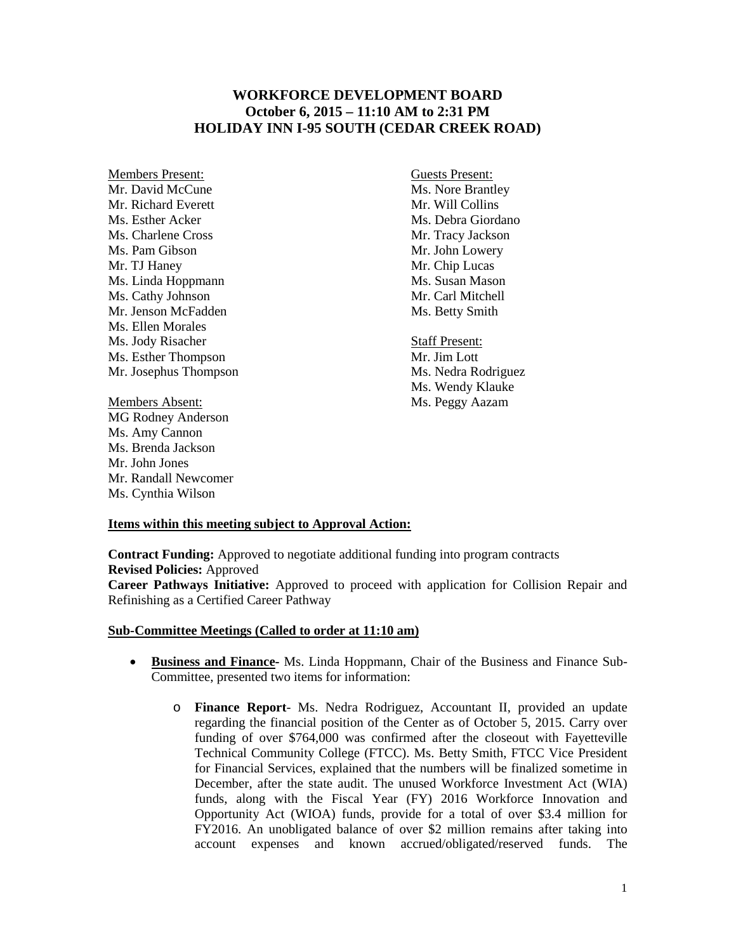## **WORKFORCE DEVELOPMENT BOARD October 6, 2015 – 11:10 AM to 2:31 PM HOLIDAY INN I-95 SOUTH (CEDAR CREEK ROAD)**

Members Present: Guests Present: Mr. David McCune Ms. Nore Brantley Mr. Richard Everett Mr. Will Collins Ms. Esther Acker Ms. Debra Giordano Ms. Charlene Cross Mr. Tracy Jackson Ms. Pam Gibson Mr. John Lowery Mr. TJ Haney Mr. Chip Lucas Ms. Linda Hoppmann Ms. Susan Mason Ms. Cathy Johnson Mr. Carl Mitchell Mr. Jenson McFadden Ms. Betty Smith Ms. Ellen Morales Ms. Jody Risacher Staff Present: Ms. Esther Thompson Mr. Jim Lott Mr. Josephus Thompson Ms. Nedra Rodriguez

Members Absent: Ms. Peggy Aazam MG Rodney Anderson Ms. Amy Cannon Ms. Brenda Jackson Mr. John Jones Mr. Randall Newcomer Ms. Cynthia Wilson

Ms. Wendy Klauke

## **Items within this meeting subject to Approval Action:**

**Contract Funding:** Approved to negotiate additional funding into program contracts **Revised Policies:** Approved

**Career Pathways Initiative:** Approved to proceed with application for Collision Repair and Refinishing as a Certified Career Pathway

## **Sub-Committee Meetings (Called to order at 11:10 am)**

- **Business and Finance-** Ms. Linda Hoppmann, Chair of the Business and Finance Sub-Committee, presented two items for information:
	- o **Finance Report** Ms. Nedra Rodriguez, Accountant II, provided an update regarding the financial position of the Center as of October 5, 2015. Carry over funding of over \$764,000 was confirmed after the closeout with Fayetteville Technical Community College (FTCC). Ms. Betty Smith, FTCC Vice President for Financial Services, explained that the numbers will be finalized sometime in December, after the state audit. The unused Workforce Investment Act (WIA) funds, along with the Fiscal Year (FY) 2016 Workforce Innovation and Opportunity Act (WIOA) funds, provide for a total of over \$3.4 million for FY2016. An unobligated balance of over \$2 million remains after taking into account expenses and known accrued/obligated/reserved funds. The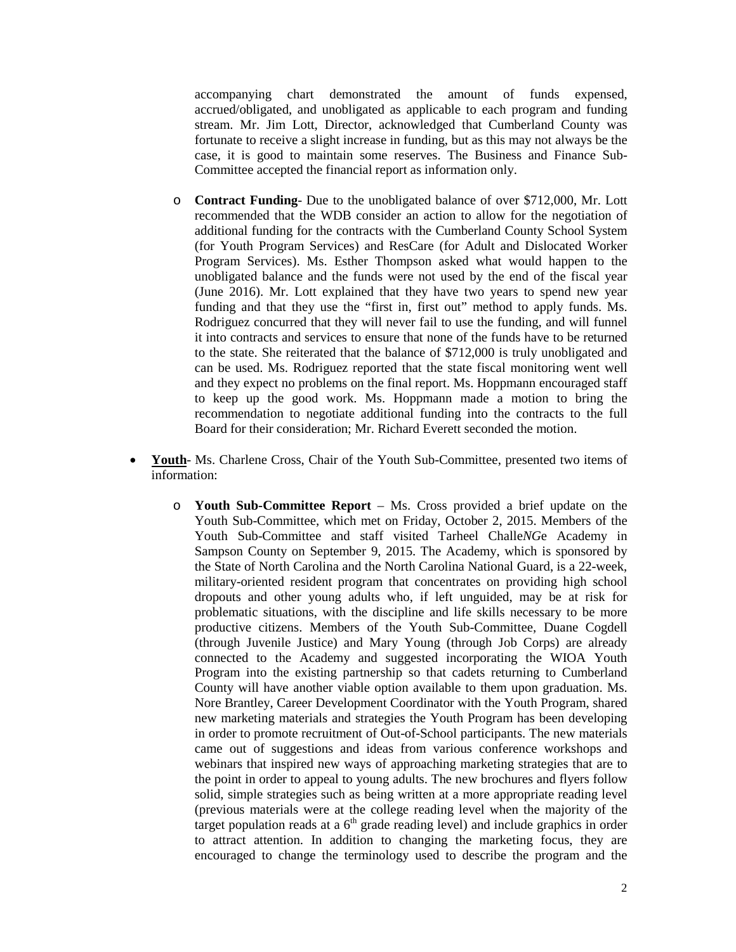accompanying chart demonstrated the amount of funds expensed, accrued/obligated, and unobligated as applicable to each program and funding stream. Mr. Jim Lott, Director, acknowledged that Cumberland County was fortunate to receive a slight increase in funding, but as this may not always be the case, it is good to maintain some reserves. The Business and Finance Sub-Committee accepted the financial report as information only.

- o **Contract Funding** Due to the unobligated balance of over \$712,000, Mr. Lott recommended that the WDB consider an action to allow for the negotiation of additional funding for the contracts with the Cumberland County School System (for Youth Program Services) and ResCare (for Adult and Dislocated Worker Program Services). Ms. Esther Thompson asked what would happen to the unobligated balance and the funds were not used by the end of the fiscal year (June 2016). Mr. Lott explained that they have two years to spend new year funding and that they use the "first in, first out" method to apply funds. Ms. Rodriguez concurred that they will never fail to use the funding, and will funnel it into contracts and services to ensure that none of the funds have to be returned to the state. She reiterated that the balance of \$712,000 is truly unobligated and can be used. Ms. Rodriguez reported that the state fiscal monitoring went well and they expect no problems on the final report. Ms. Hoppmann encouraged staff to keep up the good work. Ms. Hoppmann made a motion to bring the recommendation to negotiate additional funding into the contracts to the full Board for their consideration; Mr. Richard Everett seconded the motion.
- **Youth** Ms. Charlene Cross, Chair of the Youth Sub-Committee, presented two items of information:
	- o **Youth Sub-Committee Report** Ms. Cross provided a brief update on the Youth Sub-Committee, which met on Friday, October 2, 2015. Members of the Youth Sub-Committee and staff visited Tarheel Challe*NG*e Academy in Sampson County on September 9, 2015. The Academy, which is sponsored by the State of North Carolina and the North Carolina National Guard, is a 22-week, military-oriented resident program that concentrates on providing high school dropouts and other young adults who, if left unguided, may be at risk for problematic situations, with the discipline and life skills necessary to be more productive citizens. Members of the Youth Sub-Committee, Duane Cogdell (through Juvenile Justice) and Mary Young (through Job Corps) are already connected to the Academy and suggested incorporating the WIOA Youth Program into the existing partnership so that cadets returning to Cumberland County will have another viable option available to them upon graduation. Ms. Nore Brantley, Career Development Coordinator with the Youth Program, shared new marketing materials and strategies the Youth Program has been developing in order to promote recruitment of Out-of-School participants. The new materials came out of suggestions and ideas from various conference workshops and webinars that inspired new ways of approaching marketing strategies that are to the point in order to appeal to young adults. The new brochures and flyers follow solid, simple strategies such as being written at a more appropriate reading level (previous materials were at the college reading level when the majority of the target population reads at a  $6<sup>th</sup>$  grade reading level) and include graphics in order to attract attention. In addition to changing the marketing focus, they are encouraged to change the terminology used to describe the program and the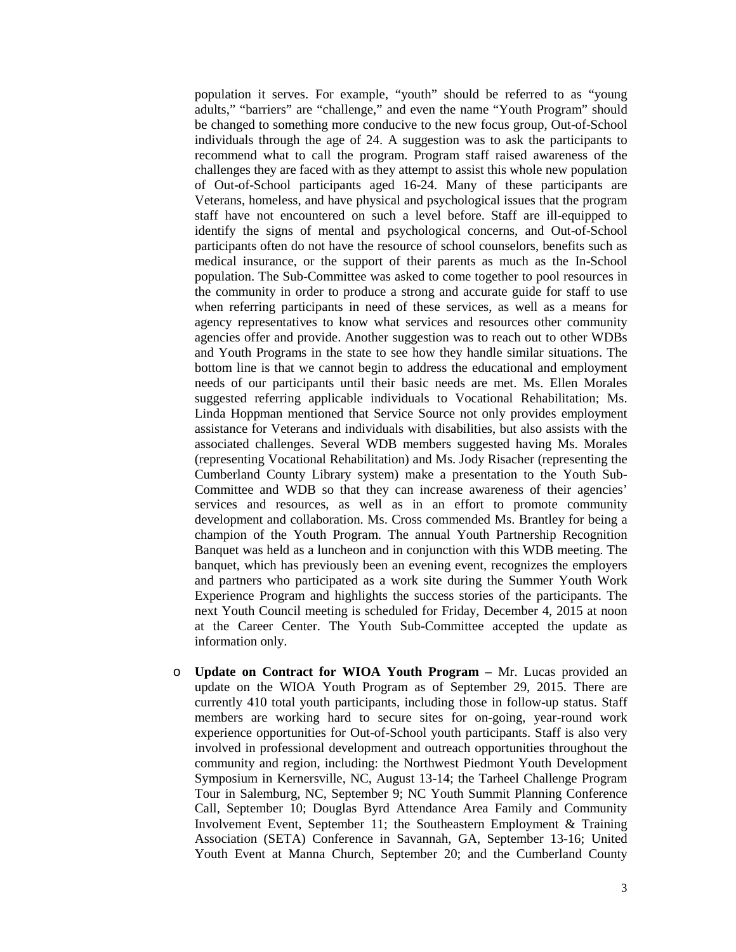population it serves. For example, "youth" should be referred to as "young adults," "barriers" are "challenge," and even the name "Youth Program" should be changed to something more conducive to the new focus group, Out-of-School individuals through the age of 24. A suggestion was to ask the participants to recommend what to call the program. Program staff raised awareness of the challenges they are faced with as they attempt to assist this whole new population of Out-of-School participants aged 16-24. Many of these participants are Veterans, homeless, and have physical and psychological issues that the program staff have not encountered on such a level before. Staff are ill-equipped to identify the signs of mental and psychological concerns, and Out-of-School participants often do not have the resource of school counselors, benefits such as medical insurance, or the support of their parents as much as the In-School population. The Sub-Committee was asked to come together to pool resources in the community in order to produce a strong and accurate guide for staff to use when referring participants in need of these services, as well as a means for agency representatives to know what services and resources other community agencies offer and provide. Another suggestion was to reach out to other WDBs and Youth Programs in the state to see how they handle similar situations. The bottom line is that we cannot begin to address the educational and employment needs of our participants until their basic needs are met. Ms. Ellen Morales suggested referring applicable individuals to Vocational Rehabilitation; Ms. Linda Hoppman mentioned that Service Source not only provides employment assistance for Veterans and individuals with disabilities, but also assists with the associated challenges. Several WDB members suggested having Ms. Morales (representing Vocational Rehabilitation) and Ms. Jody Risacher (representing the Cumberland County Library system) make a presentation to the Youth Sub-Committee and WDB so that they can increase awareness of their agencies' services and resources, as well as in an effort to promote community development and collaboration. Ms. Cross commended Ms. Brantley for being a champion of the Youth Program. The annual Youth Partnership Recognition Banquet was held as a luncheon and in conjunction with this WDB meeting. The banquet, which has previously been an evening event, recognizes the employers and partners who participated as a work site during the Summer Youth Work Experience Program and highlights the success stories of the participants. The next Youth Council meeting is scheduled for Friday, December 4, 2015 at noon at the Career Center. The Youth Sub-Committee accepted the update as information only.

o **Update on Contract for WIOA Youth Program –** Mr. Lucas provided an update on the WIOA Youth Program as of September 29, 2015. There are currently 410 total youth participants, including those in follow-up status. Staff members are working hard to secure sites for on-going, year-round work experience opportunities for Out-of-School youth participants. Staff is also very involved in professional development and outreach opportunities throughout the community and region, including: the Northwest Piedmont Youth Development Symposium in Kernersville, NC, August 13-14; the Tarheel Challenge Program Tour in Salemburg, NC, September 9; NC Youth Summit Planning Conference Call, September 10; Douglas Byrd Attendance Area Family and Community Involvement Event, September 11; the Southeastern Employment  $\&$  Training Association (SETA) Conference in Savannah, GA, September 13-16; United Youth Event at Manna Church, September 20; and the Cumberland County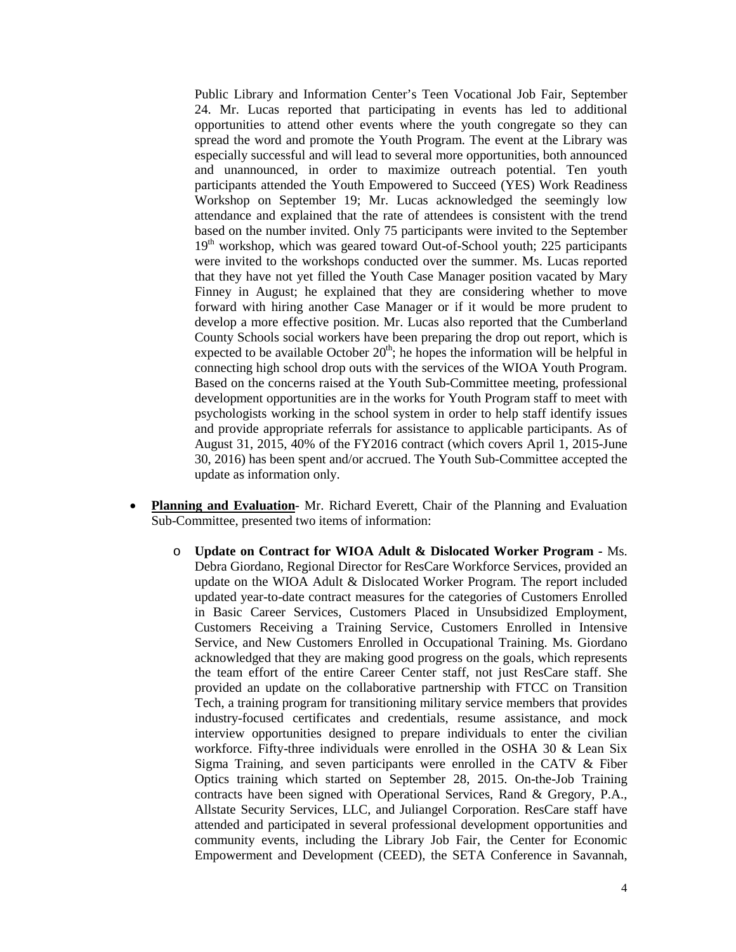Public Library and Information Center's Teen Vocational Job Fair, September 24. Mr. Lucas reported that participating in events has led to additional opportunities to attend other events where the youth congregate so they can spread the word and promote the Youth Program. The event at the Library was especially successful and will lead to several more opportunities, both announced and unannounced, in order to maximize outreach potential. Ten youth participants attended the Youth Empowered to Succeed (YES) Work Readiness Workshop on September 19; Mr. Lucas acknowledged the seemingly low attendance and explained that the rate of attendees is consistent with the trend based on the number invited. Only 75 participants were invited to the September  $19<sup>th</sup>$  workshop, which was geared toward Out-of-School youth; 225 participants were invited to the workshops conducted over the summer. Ms. Lucas reported that they have not yet filled the Youth Case Manager position vacated by Mary Finney in August; he explained that they are considering whether to move forward with hiring another Case Manager or if it would be more prudent to develop a more effective position. Mr. Lucas also reported that the Cumberland County Schools social workers have been preparing the drop out report, which is expected to be available October  $20<sup>th</sup>$ ; he hopes the information will be helpful in connecting high school drop outs with the services of the WIOA Youth Program. Based on the concerns raised at the Youth Sub-Committee meeting, professional development opportunities are in the works for Youth Program staff to meet with psychologists working in the school system in order to help staff identify issues and provide appropriate referrals for assistance to applicable participants. As of August 31, 2015, 40% of the FY2016 contract (which covers April 1, 2015-June 30, 2016) has been spent and/or accrued. The Youth Sub-Committee accepted the update as information only.

- **Planning and Evaluation** Mr. Richard Everett, Chair of the Planning and Evaluation Sub-Committee, presented two items of information:
	- o **Update on Contract for WIOA Adult & Dislocated Worker Program -** Ms. Debra Giordano, Regional Director for ResCare Workforce Services, provided an update on the WIOA Adult & Dislocated Worker Program. The report included updated year-to-date contract measures for the categories of Customers Enrolled in Basic Career Services, Customers Placed in Unsubsidized Employment, Customers Receiving a Training Service, Customers Enrolled in Intensive Service, and New Customers Enrolled in Occupational Training. Ms. Giordano acknowledged that they are making good progress on the goals, which represents the team effort of the entire Career Center staff, not just ResCare staff. She provided an update on the collaborative partnership with FTCC on Transition Tech, a training program for transitioning military service members that provides industry-focused certificates and credentials, resume assistance, and mock interview opportunities designed to prepare individuals to enter the civilian workforce. Fifty-three individuals were enrolled in the OSHA 30 & Lean Six Sigma Training, and seven participants were enrolled in the CATV & Fiber Optics training which started on September 28, 2015. On-the-Job Training contracts have been signed with Operational Services, Rand & Gregory, P.A., Allstate Security Services, LLC, and Juliangel Corporation. ResCare staff have attended and participated in several professional development opportunities and community events, including the Library Job Fair, the Center for Economic Empowerment and Development (CEED), the SETA Conference in Savannah,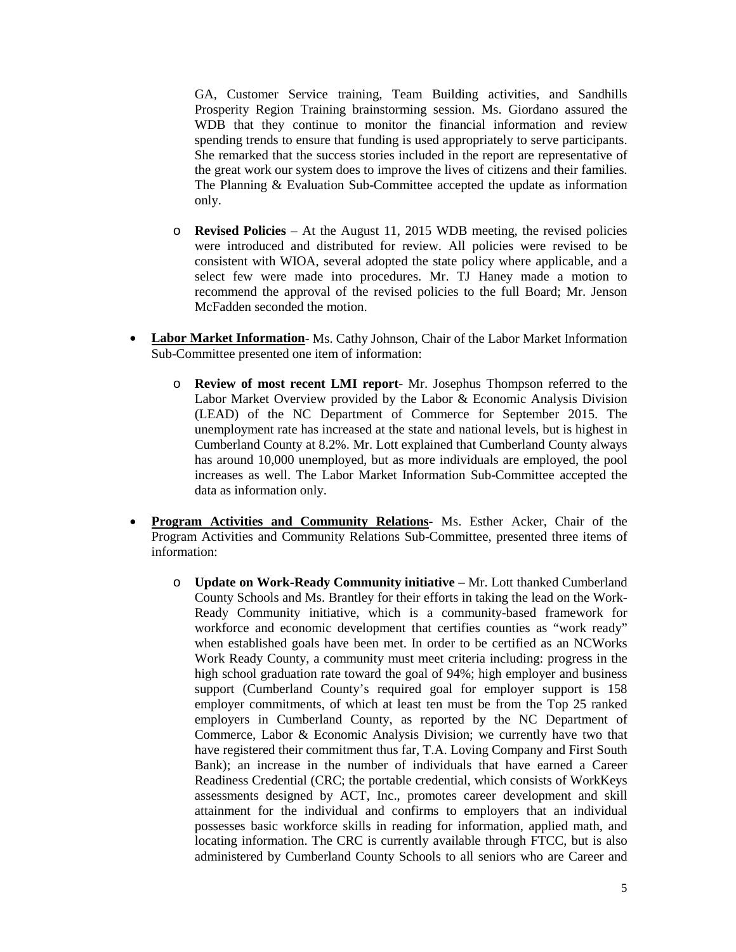GA, Customer Service training, Team Building activities, and Sandhills Prosperity Region Training brainstorming session. Ms. Giordano assured the WDB that they continue to monitor the financial information and review spending trends to ensure that funding is used appropriately to serve participants. She remarked that the success stories included in the report are representative of the great work our system does to improve the lives of citizens and their families. The Planning & Evaluation Sub-Committee accepted the update as information only.

- o **Revised Policies** At the August 11, 2015 WDB meeting, the revised policies were introduced and distributed for review. All policies were revised to be consistent with WIOA, several adopted the state policy where applicable, and a select few were made into procedures. Mr. TJ Haney made a motion to recommend the approval of the revised policies to the full Board; Mr. Jenson McFadden seconded the motion.
- **Labor Market Information** Ms. Cathy Johnson, Chair of the Labor Market Information Sub-Committee presented one item of information:
	- o **Review of most recent LMI report** Mr. Josephus Thompson referred to the Labor Market Overview provided by the Labor & Economic Analysis Division (LEAD) of the NC Department of Commerce for September 2015. The unemployment rate has increased at the state and national levels, but is highest in Cumberland County at 8.2%. Mr. Lott explained that Cumberland County always has around 10,000 unemployed, but as more individuals are employed, the pool increases as well. The Labor Market Information Sub-Committee accepted the data as information only.
- **Program Activities and Community Relations-** Ms. Esther Acker, Chair of the Program Activities and Community Relations Sub-Committee, presented three items of information:
	- o **Update on Work-Ready Community initiative** Mr. Lott thanked Cumberland County Schools and Ms. Brantley for their efforts in taking the lead on the Work-Ready Community initiative, which is a community-based framework for workforce and economic development that certifies counties as "work ready" when established goals have been met. In order to be certified as an NCWorks Work Ready County, a community must meet criteria including: progress in the high school graduation rate toward the goal of 94%; high employer and business support (Cumberland County's required goal for employer support is 158 employer commitments, of which at least ten must be from the Top 25 ranked employers in Cumberland County, as reported by the NC Department of Commerce, Labor & Economic Analysis Division; we currently have two that have registered their commitment thus far, T.A. Loving Company and First South Bank); an increase in the number of individuals that have earned a Career Readiness Credential (CRC; the portable credential, which consists of WorkKeys assessments designed by ACT, Inc., promotes career development and skill attainment for the individual and confirms to employers that an individual possesses basic workforce skills in reading for information, applied math, and locating information. The CRC is currently available through FTCC, but is also administered by Cumberland County Schools to all seniors who are Career and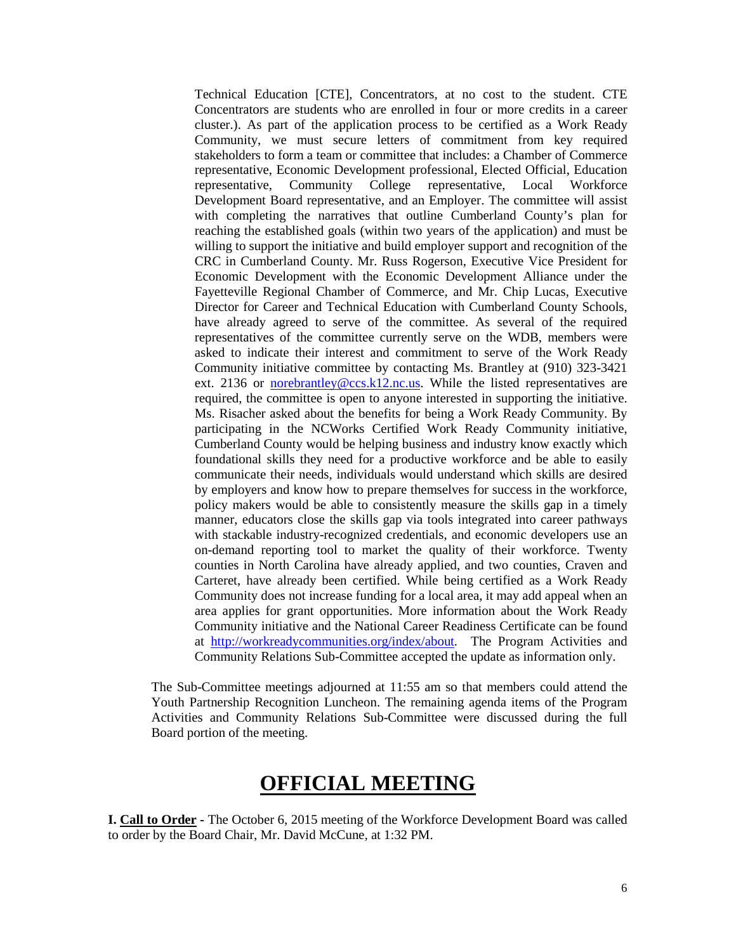Technical Education [CTE], Concentrators, at no cost to the student. CTE Concentrators are students who are enrolled in four or more credits in a career cluster.). As part of the application process to be certified as a Work Ready Community, we must secure letters of commitment from key required stakeholders to form a team or committee that includes: a Chamber of Commerce representative, Economic Development professional, Elected Official, Education representative, Community College representative, Local Workforce Development Board representative, and an Employer. The committee will assist with completing the narratives that outline Cumberland County's plan for reaching the established goals (within two years of the application) and must be willing to support the initiative and build employer support and recognition of the CRC in Cumberland County. Mr. Russ Rogerson, Executive Vice President for Economic Development with the Economic Development Alliance under the Fayetteville Regional Chamber of Commerce, and Mr. Chip Lucas, Executive Director for Career and Technical Education with Cumberland County Schools, have already agreed to serve of the committee. As several of the required representatives of the committee currently serve on the WDB, members were asked to indicate their interest and commitment to serve of the Work Ready Community initiative committee by contacting Ms. Brantley at (910) 323-3421 ext. 2136 or [norebrantley@ccs.k12.nc.us.](mailto:norebrantley@ccs.k12.nc.us) While the listed representatives are required, the committee is open to anyone interested in supporting the initiative. Ms. Risacher asked about the benefits for being a Work Ready Community. By participating in the NCWorks Certified Work Ready Community initiative, Cumberland County would be helping business and industry know exactly which foundational skills they need for a productive workforce and be able to easily communicate their needs, individuals would understand which skills are desired by employers and know how to prepare themselves for success in the workforce, policy makers would be able to consistently measure the skills gap in a timely manner, educators close the skills gap via tools integrated into career pathways with stackable industry-recognized credentials, and economic developers use an on-demand reporting tool to market the quality of their workforce. Twenty counties in North Carolina have already applied, and two counties, Craven and Carteret, have already been certified. While being certified as a Work Ready Community does not increase funding for a local area, it may add appeal when an area applies for grant opportunities. More information about the Work Ready Community initiative and the National Career Readiness Certificate can be found at [http://workreadycommunities.org/index/about.](http://workreadycommunities.org/index/about) The Program Activities and Community Relations Sub-Committee accepted the update as information only.

The Sub-Committee meetings adjourned at 11:55 am so that members could attend the Youth Partnership Recognition Luncheon. The remaining agenda items of the Program Activities and Community Relations Sub-Committee were discussed during the full Board portion of the meeting.

## **OFFICIAL MEETING**

**I. Call to Order -** The October 6, 2015 meeting of the Workforce Development Board was called to order by the Board Chair, Mr. David McCune, at 1:32 PM.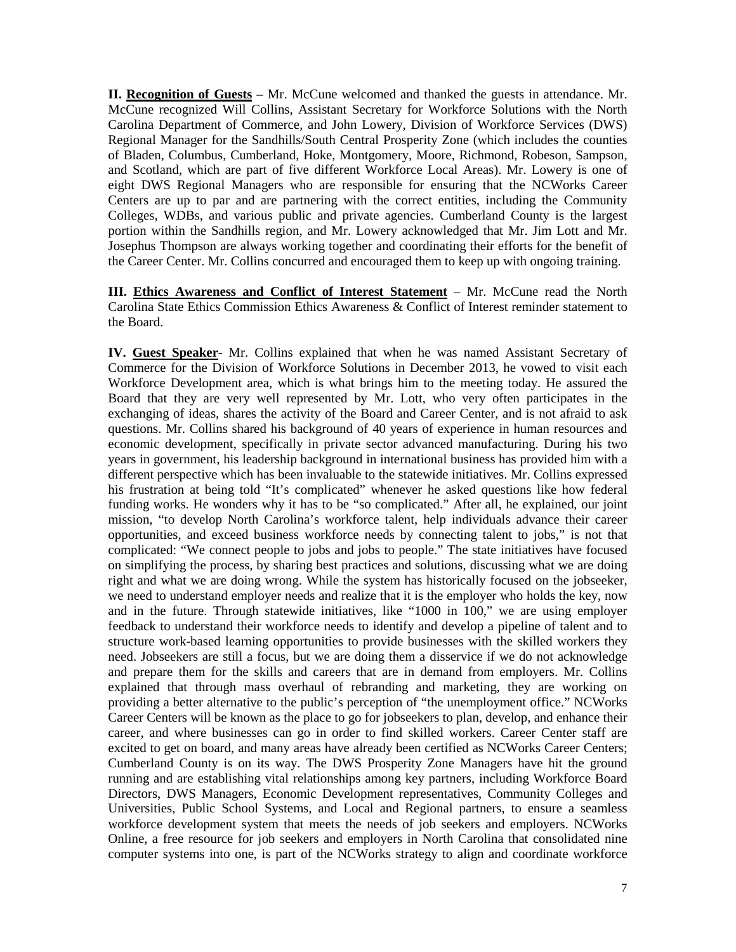**II. Recognition of Guests** – Mr. McCune welcomed and thanked the guests in attendance. Mr. McCune recognized Will Collins, Assistant Secretary for Workforce Solutions with the North Carolina Department of Commerce, and John Lowery, Division of Workforce Services (DWS) Regional Manager for the Sandhills/South Central Prosperity Zone (which includes the counties of Bladen, Columbus, Cumberland, Hoke, Montgomery, Moore, Richmond, Robeson, Sampson, and Scotland, which are part of five different Workforce Local Areas). Mr. Lowery is one of eight DWS Regional Managers who are responsible for ensuring that the NCWorks Career Centers are up to par and are partnering with the correct entities, including the Community Colleges, WDBs, and various public and private agencies. Cumberland County is the largest portion within the Sandhills region, and Mr. Lowery acknowledged that Mr. Jim Lott and Mr. Josephus Thompson are always working together and coordinating their efforts for the benefit of the Career Center. Mr. Collins concurred and encouraged them to keep up with ongoing training.

**III. Ethics Awareness and Conflict of Interest Statement** – Mr. McCune read the North Carolina State Ethics Commission Ethics Awareness & Conflict of Interest reminder statement to the Board.

**IV. Guest Speaker**- Mr. Collins explained that when he was named Assistant Secretary of Commerce for the Division of Workforce Solutions in December 2013, he vowed to visit each Workforce Development area, which is what brings him to the meeting today. He assured the Board that they are very well represented by Mr. Lott, who very often participates in the exchanging of ideas, shares the activity of the Board and Career Center, and is not afraid to ask questions. Mr. Collins shared his background of 40 years of experience in human resources and economic development, specifically in private sector advanced manufacturing. During his two years in government, his leadership background in international business has provided him with a different perspective which has been invaluable to the statewide initiatives. Mr. Collins expressed his frustration at being told "It's complicated" whenever he asked questions like how federal funding works. He wonders why it has to be "so complicated." After all, he explained, our joint mission, "to develop North Carolina's workforce talent, help individuals advance their career opportunities, and exceed business workforce needs by connecting talent to jobs," is not that complicated: "We connect people to jobs and jobs to people." The state initiatives have focused on simplifying the process, by sharing best practices and solutions, discussing what we are doing right and what we are doing wrong. While the system has historically focused on the jobseeker, we need to understand employer needs and realize that it is the employer who holds the key, now and in the future. Through statewide initiatives, like "1000 in 100," we are using employer feedback to understand their workforce needs to identify and develop a pipeline of talent and to structure work-based learning opportunities to provide businesses with the skilled workers they need. Jobseekers are still a focus, but we are doing them a disservice if we do not acknowledge and prepare them for the skills and careers that are in demand from employers. Mr. Collins explained that through mass overhaul of rebranding and marketing, they are working on providing a better alternative to the public's perception of "the unemployment office." NCWorks Career Centers will be known as the place to go for jobseekers to plan, develop, and enhance their career, and where businesses can go in order to find skilled workers. Career Center staff are excited to get on board, and many areas have already been certified as NCWorks Career Centers; Cumberland County is on its way. The DWS Prosperity Zone Managers have hit the ground running and are establishing vital relationships among key partners, including Workforce Board Directors, DWS Managers, Economic Development representatives, Community Colleges and Universities, Public School Systems, and Local and Regional partners, to ensure a seamless workforce development system that meets the needs of job seekers and employers. NCWorks Online, a free resource for job seekers and employers in North Carolina that consolidated nine computer systems into one, is part of the NCWorks strategy to align and coordinate workforce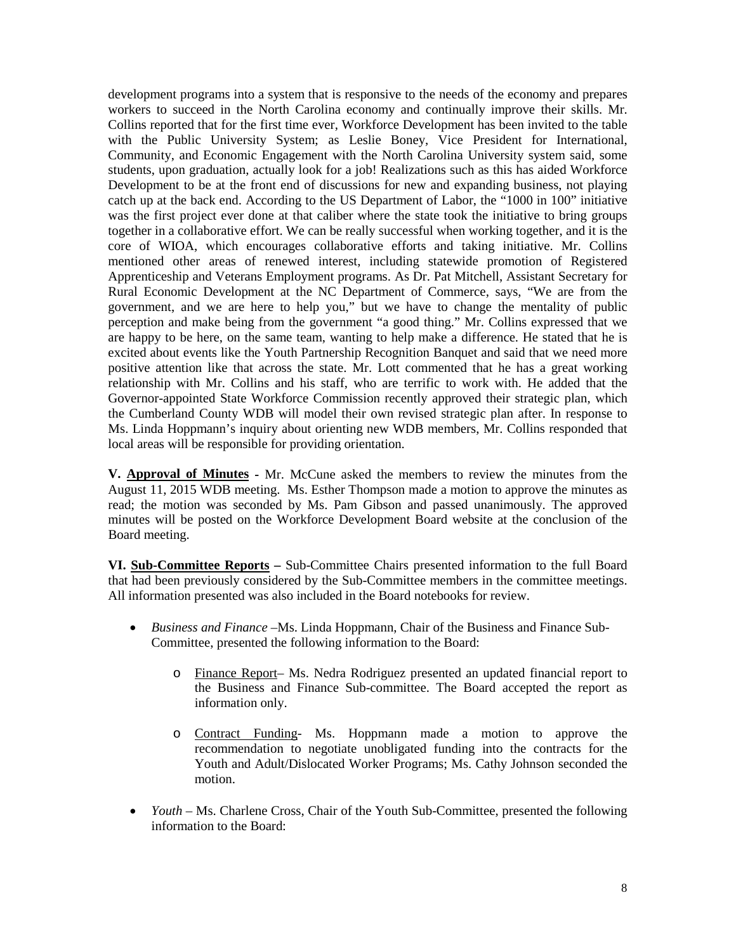development programs into a system that is responsive to the needs of the economy and prepares workers to succeed in the North Carolina economy and continually improve their skills. Mr. Collins reported that for the first time ever, Workforce Development has been invited to the table with the Public University System; as Leslie Boney, Vice President for International, Community, and Economic Engagement with the North Carolina University system said, some students, upon graduation, actually look for a job! Realizations such as this has aided Workforce Development to be at the front end of discussions for new and expanding business, not playing catch up at the back end. According to the US Department of Labor, the "1000 in 100" initiative was the first project ever done at that caliber where the state took the initiative to bring groups together in a collaborative effort. We can be really successful when working together, and it is the core of WIOA, which encourages collaborative efforts and taking initiative. Mr. Collins mentioned other areas of renewed interest, including statewide promotion of Registered Apprenticeship and Veterans Employment programs. As Dr. Pat Mitchell, Assistant Secretary for Rural Economic Development at the NC Department of Commerce, says, "We are from the government, and we are here to help you," but we have to change the mentality of public perception and make being from the government "a good thing." Mr. Collins expressed that we are happy to be here, on the same team, wanting to help make a difference. He stated that he is excited about events like the Youth Partnership Recognition Banquet and said that we need more positive attention like that across the state. Mr. Lott commented that he has a great working relationship with Mr. Collins and his staff, who are terrific to work with. He added that the Governor-appointed State Workforce Commission recently approved their strategic plan, which the Cumberland County WDB will model their own revised strategic plan after. In response to Ms. Linda Hoppmann's inquiry about orienting new WDB members, Mr. Collins responded that local areas will be responsible for providing orientation.

**V. Approval of Minutes -** Mr. McCune asked the members to review the minutes from the August 11, 2015 WDB meeting. Ms. Esther Thompson made a motion to approve the minutes as read; the motion was seconded by Ms. Pam Gibson and passed unanimously. The approved minutes will be posted on the Workforce Development Board website at the conclusion of the Board meeting.

**VI. Sub-Committee Reports –** Sub-Committee Chairs presented information to the full Board that had been previously considered by the Sub-Committee members in the committee meetings. All information presented was also included in the Board notebooks for review.

- *Business and Finance –*Ms. Linda Hoppmann, Chair of the Business and Finance Sub-Committee, presented the following information to the Board:
	- o Finance Report– Ms. Nedra Rodriguez presented an updated financial report to the Business and Finance Sub-committee. The Board accepted the report as information only.
	- o Contract Funding- Ms. Hoppmann made a motion to approve the recommendation to negotiate unobligated funding into the contracts for the Youth and Adult/Dislocated Worker Programs; Ms. Cathy Johnson seconded the motion.
- *Youth* Ms. Charlene Cross, Chair of the Youth Sub-Committee, presented the following information to the Board: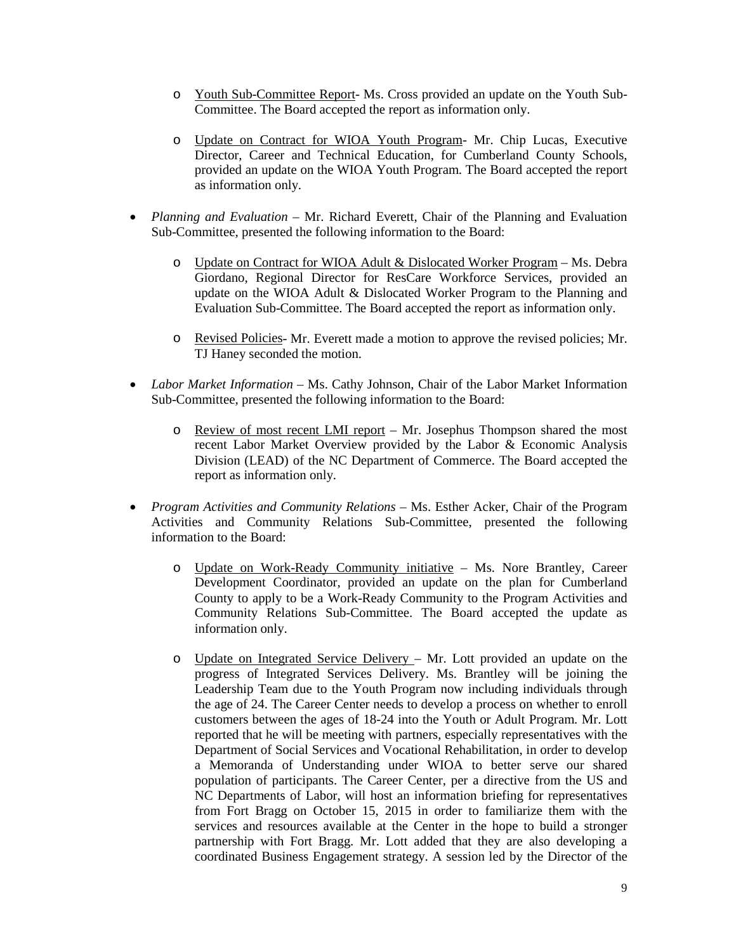- o Youth Sub-Committee Report- Ms. Cross provided an update on the Youth Sub-Committee. The Board accepted the report as information only.
- o Update on Contract for WIOA Youth Program- Mr. Chip Lucas, Executive Director, Career and Technical Education, for Cumberland County Schools, provided an update on the WIOA Youth Program. The Board accepted the report as information only.
- *Planning and Evaluation* Mr. Richard Everett, Chair of the Planning and Evaluation Sub-Committee, presented the following information to the Board:
	- o Update on Contract for WIOA Adult & Dislocated Worker Program Ms. Debra Giordano, Regional Director for ResCare Workforce Services, provided an update on the WIOA Adult & Dislocated Worker Program to the Planning and Evaluation Sub-Committee. The Board accepted the report as information only.
	- o Revised Policies- Mr. Everett made a motion to approve the revised policies; Mr. TJ Haney seconded the motion.
- *Labor Market Information* Ms. Cathy Johnson, Chair of the Labor Market Information Sub-Committee, presented the following information to the Board:
	- o Review of most recent LMI report Mr. Josephus Thompson shared the most recent Labor Market Overview provided by the Labor & Economic Analysis Division (LEAD) of the NC Department of Commerce. The Board accepted the report as information only.
- *Program Activities and Community Relations –* Ms. Esther Acker, Chair of the Program Activities and Community Relations Sub-Committee, presented the following information to the Board:
	- o Update on Work-Ready Community initiative Ms. Nore Brantley, Career Development Coordinator, provided an update on the plan for Cumberland County to apply to be a Work-Ready Community to the Program Activities and Community Relations Sub-Committee. The Board accepted the update as information only.
	- o Update on Integrated Service Delivery Mr. Lott provided an update on the progress of Integrated Services Delivery. Ms. Brantley will be joining the Leadership Team due to the Youth Program now including individuals through the age of 24. The Career Center needs to develop a process on whether to enroll customers between the ages of 18-24 into the Youth or Adult Program. Mr. Lott reported that he will be meeting with partners, especially representatives with the Department of Social Services and Vocational Rehabilitation, in order to develop a Memoranda of Understanding under WIOA to better serve our shared population of participants. The Career Center, per a directive from the US and NC Departments of Labor, will host an information briefing for representatives from Fort Bragg on October 15, 2015 in order to familiarize them with the services and resources available at the Center in the hope to build a stronger partnership with Fort Bragg. Mr. Lott added that they are also developing a coordinated Business Engagement strategy. A session led by the Director of the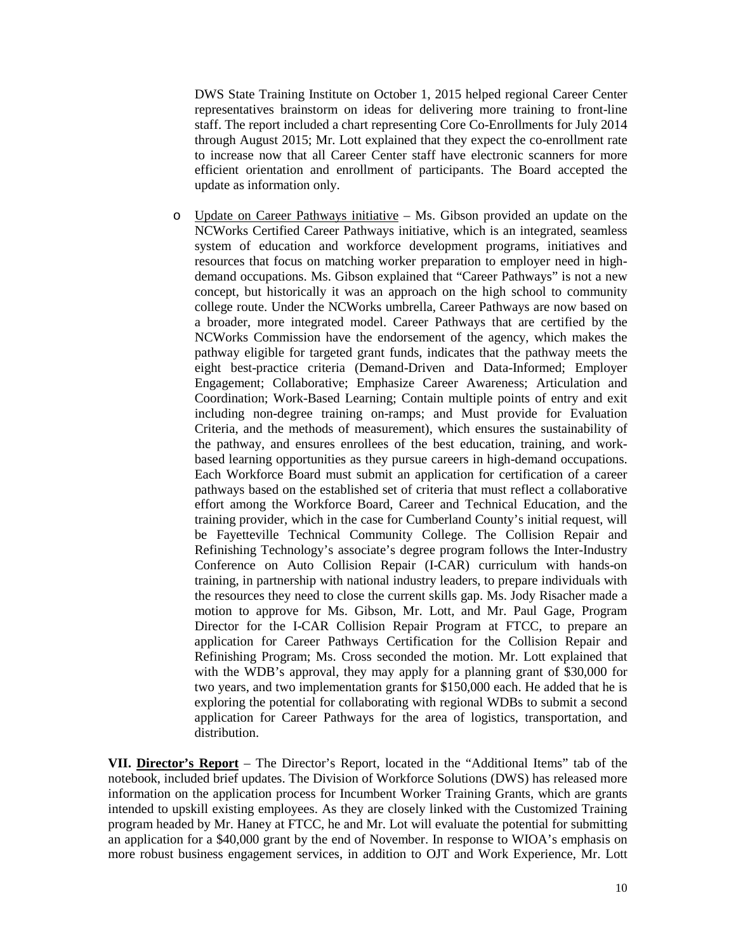DWS State Training Institute on October 1, 2015 helped regional Career Center representatives brainstorm on ideas for delivering more training to front-line staff. The report included a chart representing Core Co-Enrollments for July 2014 through August 2015; Mr. Lott explained that they expect the co-enrollment rate to increase now that all Career Center staff have electronic scanners for more efficient orientation and enrollment of participants. The Board accepted the update as information only.

 $\circ$  Update on Career Pathways initiative – Ms. Gibson provided an update on the NCWorks Certified Career Pathways initiative, which is an integrated, seamless system of education and workforce development programs, initiatives and resources that focus on matching worker preparation to employer need in highdemand occupations. Ms. Gibson explained that "Career Pathways" is not a new concept, but historically it was an approach on the high school to community college route. Under the NCWorks umbrella, Career Pathways are now based on a broader, more integrated model. Career Pathways that are certified by the NCWorks Commission have the endorsement of the agency, which makes the pathway eligible for targeted grant funds, indicates that the pathway meets the eight best-practice criteria (Demand-Driven and Data-Informed; Employer Engagement; Collaborative; Emphasize Career Awareness; Articulation and Coordination; Work-Based Learning; Contain multiple points of entry and exit including non-degree training on-ramps; and Must provide for Evaluation Criteria, and the methods of measurement), which ensures the sustainability of the pathway, and ensures enrollees of the best education, training, and workbased learning opportunities as they pursue careers in high-demand occupations. Each Workforce Board must submit an application for certification of a career pathways based on the established set of criteria that must reflect a collaborative effort among the Workforce Board, Career and Technical Education, and the training provider, which in the case for Cumberland County's initial request, will be Fayetteville Technical Community College. The Collision Repair and Refinishing Technology's associate's degree program follows the Inter-Industry Conference on Auto Collision Repair (I-CAR) curriculum with hands-on training, in partnership with national industry leaders, to prepare individuals with the resources they need to close the current skills gap. Ms. Jody Risacher made a motion to approve for Ms. Gibson, Mr. Lott, and Mr. Paul Gage, Program Director for the I-CAR Collision Repair Program at FTCC, to prepare an application for Career Pathways Certification for the Collision Repair and Refinishing Program; Ms. Cross seconded the motion. Mr. Lott explained that with the WDB's approval, they may apply for a planning grant of \$30,000 for two years, and two implementation grants for \$150,000 each. He added that he is exploring the potential for collaborating with regional WDBs to submit a second application for Career Pathways for the area of logistics, transportation, and distribution.

**VII. Director's Report** – The Director's Report, located in the "Additional Items" tab of the notebook, included brief updates. The Division of Workforce Solutions (DWS) has released more information on the application process for Incumbent Worker Training Grants, which are grants intended to upskill existing employees. As they are closely linked with the Customized Training program headed by Mr. Haney at FTCC, he and Mr. Lot will evaluate the potential for submitting an application for a \$40,000 grant by the end of November. In response to WIOA's emphasis on more robust business engagement services, in addition to OJT and Work Experience, Mr. Lott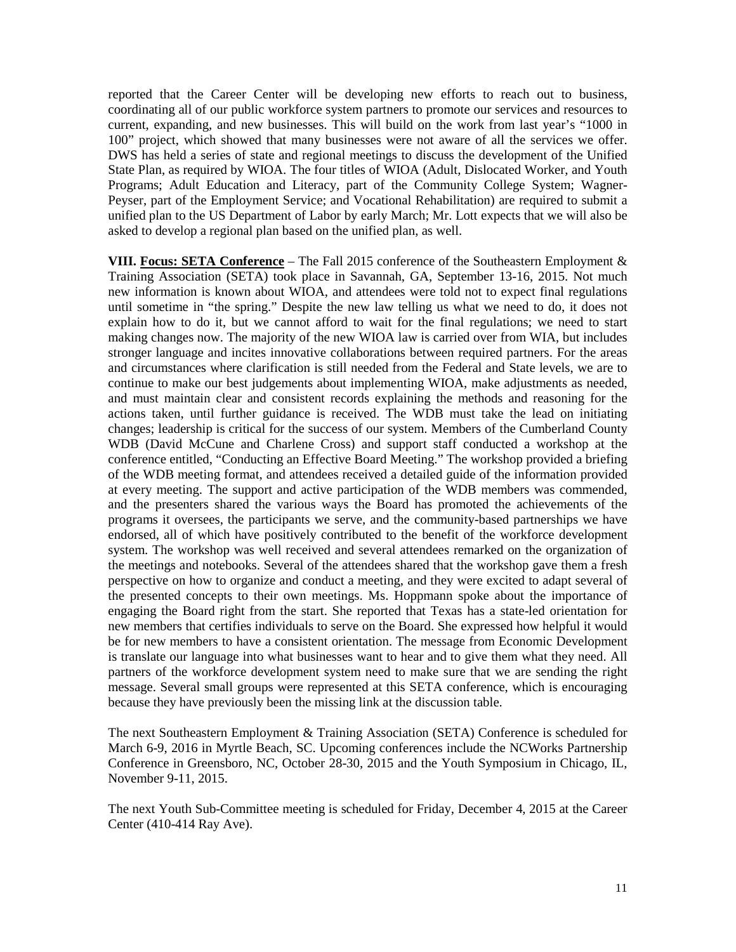reported that the Career Center will be developing new efforts to reach out to business, coordinating all of our public workforce system partners to promote our services and resources to current, expanding, and new businesses. This will build on the work from last year's "1000 in 100" project, which showed that many businesses were not aware of all the services we offer. DWS has held a series of state and regional meetings to discuss the development of the Unified State Plan, as required by WIOA. The four titles of WIOA (Adult, Dislocated Worker, and Youth Programs; Adult Education and Literacy, part of the Community College System; Wagner-Peyser, part of the Employment Service; and Vocational Rehabilitation) are required to submit a unified plan to the US Department of Labor by early March; Mr. Lott expects that we will also be asked to develop a regional plan based on the unified plan, as well.

**VIII. Focus: SETA Conference** – The Fall 2015 conference of the Southeastern Employment & Training Association (SETA) took place in Savannah, GA, September 13-16, 2015. Not much new information is known about WIOA, and attendees were told not to expect final regulations until sometime in "the spring." Despite the new law telling us what we need to do, it does not explain how to do it, but we cannot afford to wait for the final regulations; we need to start making changes now. The majority of the new WIOA law is carried over from WIA, but includes stronger language and incites innovative collaborations between required partners. For the areas and circumstances where clarification is still needed from the Federal and State levels, we are to continue to make our best judgements about implementing WIOA, make adjustments as needed, and must maintain clear and consistent records explaining the methods and reasoning for the actions taken, until further guidance is received. The WDB must take the lead on initiating changes; leadership is critical for the success of our system. Members of the Cumberland County WDB (David McCune and Charlene Cross) and support staff conducted a workshop at the conference entitled, "Conducting an Effective Board Meeting." The workshop provided a briefing of the WDB meeting format, and attendees received a detailed guide of the information provided at every meeting. The support and active participation of the WDB members was commended, and the presenters shared the various ways the Board has promoted the achievements of the programs it oversees, the participants we serve, and the community-based partnerships we have endorsed, all of which have positively contributed to the benefit of the workforce development system. The workshop was well received and several attendees remarked on the organization of the meetings and notebooks. Several of the attendees shared that the workshop gave them a fresh perspective on how to organize and conduct a meeting, and they were excited to adapt several of the presented concepts to their own meetings. Ms. Hoppmann spoke about the importance of engaging the Board right from the start. She reported that Texas has a state-led orientation for new members that certifies individuals to serve on the Board. She expressed how helpful it would be for new members to have a consistent orientation. The message from Economic Development is translate our language into what businesses want to hear and to give them what they need. All partners of the workforce development system need to make sure that we are sending the right message. Several small groups were represented at this SETA conference, which is encouraging because they have previously been the missing link at the discussion table.

The next Southeastern Employment & Training Association (SETA) Conference is scheduled for March 6-9, 2016 in Myrtle Beach, SC. Upcoming conferences include the NCWorks Partnership Conference in Greensboro, NC, October 28-30, 2015 and the Youth Symposium in Chicago, IL, November 9-11, 2015.

The next Youth Sub-Committee meeting is scheduled for Friday, December 4, 2015 at the Career Center (410-414 Ray Ave).